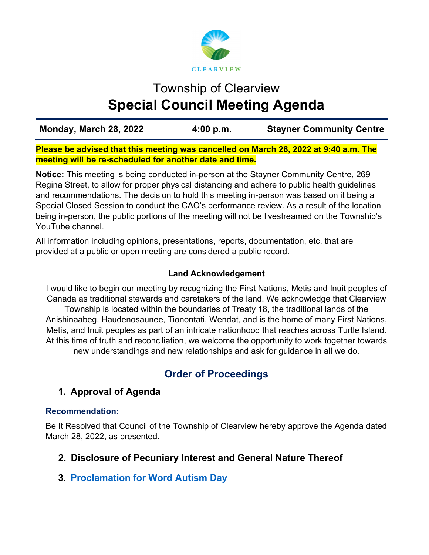

# Township of Clearview **Special Council Meeting Agenda**

**Monday, March 28, 2022 4:00 p.m. Stayner Community Centre** 

**Please be advised that this meeting was cancelled on March 28, 2022 at 9:40 a.m. The meeting will be re-scheduled for another date and time.** 

**Notice:** This meeting is being conducted in-person at the Stayner Community Centre, 269 Regina Street, to allow for proper physical distancing and adhere to public health guidelines and recommendations. The decision to hold this meeting in-person was based on it being a Special Closed Session to conduct the CAO's performance review. As a result of the location being in-person, the public portions of the meeting will not be livestreamed on the Township's YouTube channel.

All information including opinions, presentations, reports, documentation, etc. that are provided at a public or open meeting are considered a public record.

## **Land Acknowledgement**

I would like to begin our meeting by recognizing the First Nations, Metis and Inuit peoples of Canada as traditional stewards and caretakers of the land. We acknowledge that Clearview

Township is located within the boundaries of Treaty 18, the traditional lands of the Anishinaabeg, Haudenosaunee, Tionontati, Wendat, and is the home of many First Nations, Metis, and Inuit peoples as part of an intricate nationhood that reaches across Turtle Island. At this time of truth and reconciliation, we welcome the opportunity to work together towards new understandings and new relationships and ask for guidance in all we do.

## **Order of Proceedings**

## **1. Approval of Agenda**

#### **Recommendation:**

Be It Resolved that Council of the Township of Clearview hereby approve the Agenda dated March 28, 2022, as presented.

## **2. Disclosure of Pecuniary Interest and General Nature Thereof**

## **3. [Proclamation for Word Autism Day](https://www.clearview.ca/sites/default/files/uploads/publications/3._proclamation_request_-_world_autism_day.pdf)**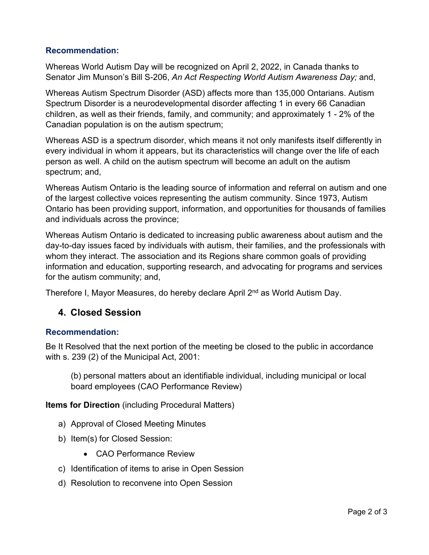#### **Recommendation:**

Whereas World Autism Day will be recognized on April 2, 2022, in Canada thanks to Senator Jim Munson's Bill S-206, *An Act Respecting World Autism Awareness Day;* and,

Whereas Autism Spectrum Disorder (ASD) affects more than 135,000 Ontarians. Autism Spectrum Disorder is a neurodevelopmental disorder affecting 1 in every 66 Canadian children, as well as their friends, family, and community; and approximately 1 - 2% of the Canadian population is on the autism spectrum;

Whereas ASD is a spectrum disorder, which means it not only manifests itself differently in every individual in whom it appears, but its characteristics will change over the life of each person as well. A child on the autism spectrum will become an adult on the autism spectrum; and,

Whereas Autism Ontario is the leading source of information and referral on autism and one of the largest collective voices representing the autism community. Since 1973, Autism Ontario has been providing support, information, and opportunities for thousands of families and individuals across the province;

Whereas Autism Ontario is dedicated to increasing public awareness about autism and the day-to-day issues faced by individuals with autism, their families, and the professionals with whom they interact. The association and its Regions share common goals of providing information and education, supporting research, and advocating for programs and services for the autism community; and,

Therefore I, Mayor Measures, do hereby declare April 2<sup>nd</sup> as World Autism Day.

## **4. Closed Session**

#### **Recommendation:**

Be It Resolved that the next portion of the meeting be closed to the public in accordance with s. 239 (2) of the Municipal Act, 2001:

(b) personal matters about an identifiable individual, including municipal or local board employees (CAO Performance Review)

**Items for Direction** (including Procedural Matters)

- a) Approval of Closed Meeting Minutes
- b) Item(s) for Closed Session:
	- CAO Performance Review
- c) Identification of items to arise in Open Session
- d) Resolution to reconvene into Open Session